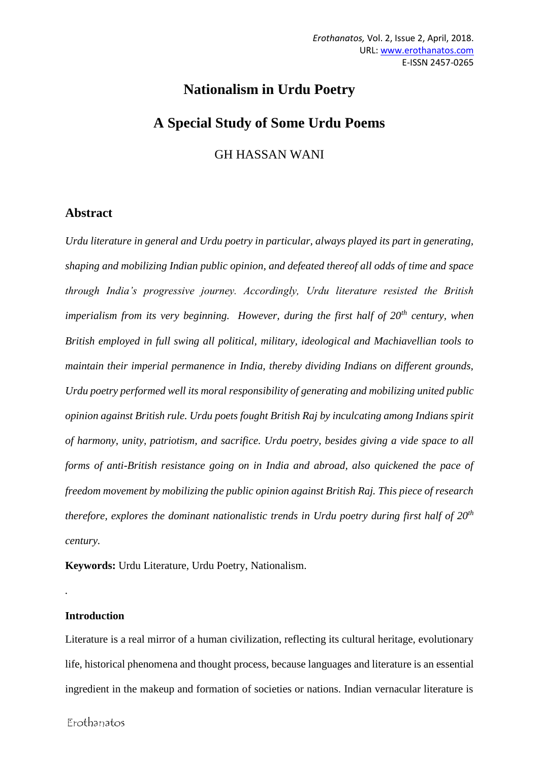# **Nationalism in Urdu Poetry A Special Study of Some Urdu Poems**

GH HASSAN WANI

# **Abstract**

*Urdu literature in general and Urdu poetry in particular, always played its part in generating, shaping and mobilizing Indian public opinion, and defeated thereof all odds of time and space through India's progressive journey. Accordingly, Urdu literature resisted the British imperialism from its very beginning. However, during the first half of 20th century, when British employed in full swing all political, military, ideological and Machiavellian tools to maintain their imperial permanence in India, thereby dividing Indians on different grounds, Urdu poetry performed well its moral responsibility of generating and mobilizing united public opinion against British rule. Urdu poets fought British Raj by inculcating among Indians spirit of harmony, unity, patriotism, and sacrifice. Urdu poetry, besides giving a vide space to all forms of anti-British resistance going on in India and abroad, also quickened the pace of freedom movement by mobilizing the public opinion against British Raj. This piece of research therefore, explores the dominant nationalistic trends in Urdu poetry during first half of 20th century.*

**Keywords:** Urdu Literature, Urdu Poetry, Nationalism.

# **Introduction**

*.*

Literature is a real mirror of a human civilization, reflecting its cultural heritage, evolutionary life, historical phenomena and thought process, because languages and literature is an essential ingredient in the makeup and formation of societies or nations. Indian vernacular literature is

Erothanatos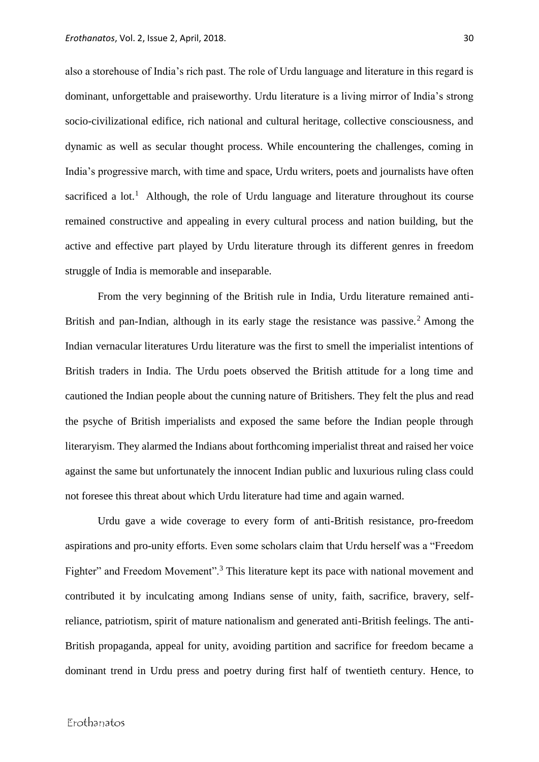also a storehouse of India's rich past. The role of Urdu language and literature in this regard is dominant, unforgettable and praiseworthy. Urdu literature is a living mirror of India's strong socio-civilizational edifice, rich national and cultural heritage, collective consciousness, and dynamic as well as secular thought process. While encountering the challenges, coming in India's progressive march, with time and space, Urdu writers, poets and journalists have often sacrificed a lot.<sup>1</sup> Although, the role of Urdu language and literature throughout its course remained constructive and appealing in every cultural process and nation building, but the active and effective part played by Urdu literature through its different genres in freedom struggle of India is memorable and inseparable.

From the very beginning of the British rule in India, Urdu literature remained anti-British and pan-Indian, although in its early stage the resistance was passive.<sup>2</sup> Among the Indian vernacular literatures Urdu literature was the first to smell the imperialist intentions of British traders in India. The Urdu poets observed the British attitude for a long time and cautioned the Indian people about the cunning nature of Britishers. They felt the plus and read the psyche of British imperialists and exposed the same before the Indian people through literaryism. They alarmed the Indians about forthcoming imperialist threat and raised her voice against the same but unfortunately the innocent Indian public and luxurious ruling class could not foresee this threat about which Urdu literature had time and again warned.

Urdu gave a wide coverage to every form of anti-British resistance, pro-freedom aspirations and pro-unity efforts. Even some scholars claim that Urdu herself was a "Freedom Fighter" and Freedom Movement".<sup>3</sup> This literature kept its pace with national movement and contributed it by inculcating among Indians sense of unity, faith, sacrifice, bravery, selfreliance, patriotism, spirit of mature nationalism and generated anti-British feelings. The anti-British propaganda, appeal for unity, avoiding partition and sacrifice for freedom became a dominant trend in Urdu press and poetry during first half of twentieth century. Hence, to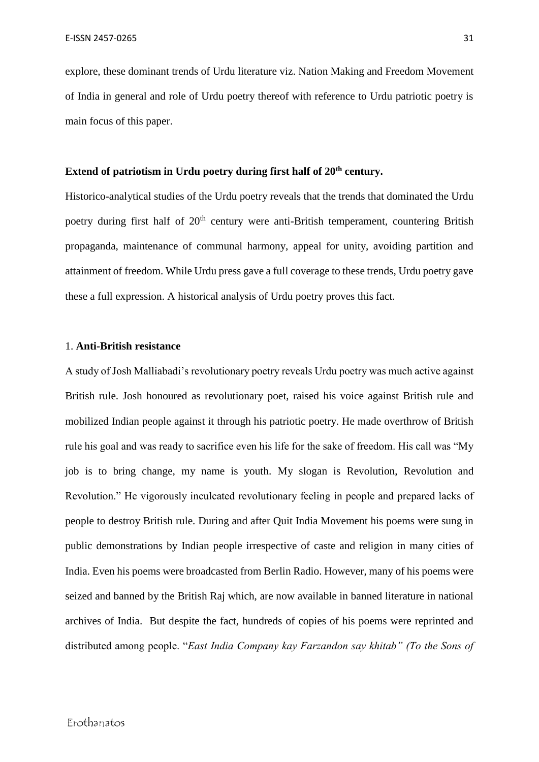explore, these dominant trends of Urdu literature viz. Nation Making and Freedom Movement of India in general and role of Urdu poetry thereof with reference to Urdu patriotic poetry is main focus of this paper.

# **Extend of patriotism in Urdu poetry during first half of 20th century.**

Historico-analytical studies of the Urdu poetry reveals that the trends that dominated the Urdu poetry during first half of 20<sup>th</sup> century were anti-British temperament, countering British propaganda, maintenance of communal harmony, appeal for unity, avoiding partition and attainment of freedom. While Urdu press gave a full coverage to these trends, Urdu poetry gave these a full expression. A historical analysis of Urdu poetry proves this fact.

### 1. **Anti-British resistance**

A study of Josh Malliabadi's revolutionary poetry reveals Urdu poetry was much active against British rule. Josh honoured as revolutionary poet, raised his voice against British rule and mobilized Indian people against it through his patriotic poetry. He made overthrow of British rule his goal and was ready to sacrifice even his life for the sake of freedom. His call was "My job is to bring change, my name is youth. My slogan is Revolution, Revolution and Revolution." He vigorously inculcated revolutionary feeling in people and prepared lacks of people to destroy British rule. During and after Quit India Movement his poems were sung in public demonstrations by Indian people irrespective of caste and religion in many cities of India. Even his poems were broadcasted from Berlin Radio. However, many of his poems were seized and banned by the British Raj which, are now available in banned literature in national archives of India. But despite the fact, hundreds of copies of his poems were reprinted and distributed among people. "*East India Company kay Farzandon say khitab" (To the Sons of*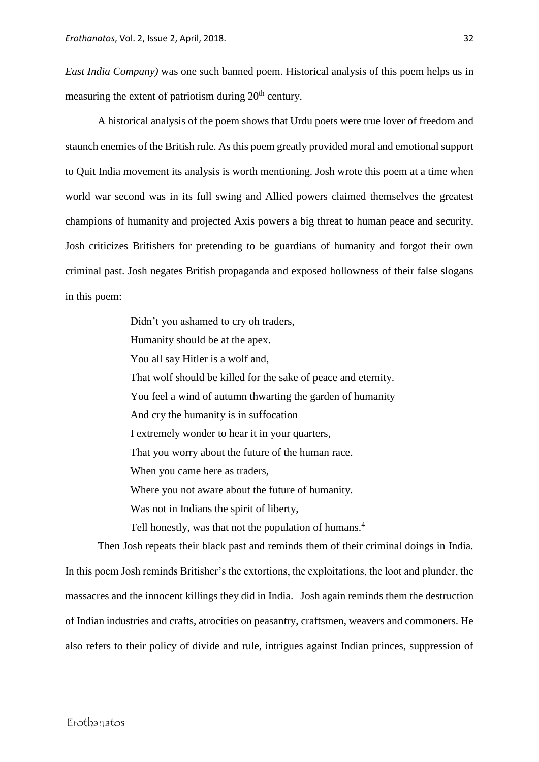*East India Company)* was one such banned poem. Historical analysis of this poem helps us in measuring the extent of patriotism during  $20<sup>th</sup>$  century.

A historical analysis of the poem shows that Urdu poets were true lover of freedom and staunch enemies of the British rule. As this poem greatly provided moral and emotional support to Quit India movement its analysis is worth mentioning. Josh wrote this poem at a time when world war second was in its full swing and Allied powers claimed themselves the greatest champions of humanity and projected Axis powers a big threat to human peace and security. Josh criticizes Britishers for pretending to be guardians of humanity and forgot their own criminal past. Josh negates British propaganda and exposed hollowness of their false slogans in this poem:

> Didn't you ashamed to cry oh traders, Humanity should be at the apex. You all say Hitler is a wolf and, That wolf should be killed for the sake of peace and eternity. You feel a wind of autumn thwarting the garden of humanity And cry the humanity is in suffocation I extremely wonder to hear it in your quarters, That you worry about the future of the human race. When you came here as traders, Where you not aware about the future of humanity. Was not in Indians the spirit of liberty, Tell honestly, was that not the population of humans.<sup>4</sup>

Then Josh repeats their black past and reminds them of their criminal doings in India. In this poem Josh reminds Britisher's the extortions, the exploitations, the loot and plunder, the massacres and the innocent killings they did in India. Josh again reminds them the destruction of Indian industries and crafts, atrocities on peasantry, craftsmen, weavers and commoners. He also refers to their policy of divide and rule, intrigues against Indian princes, suppression of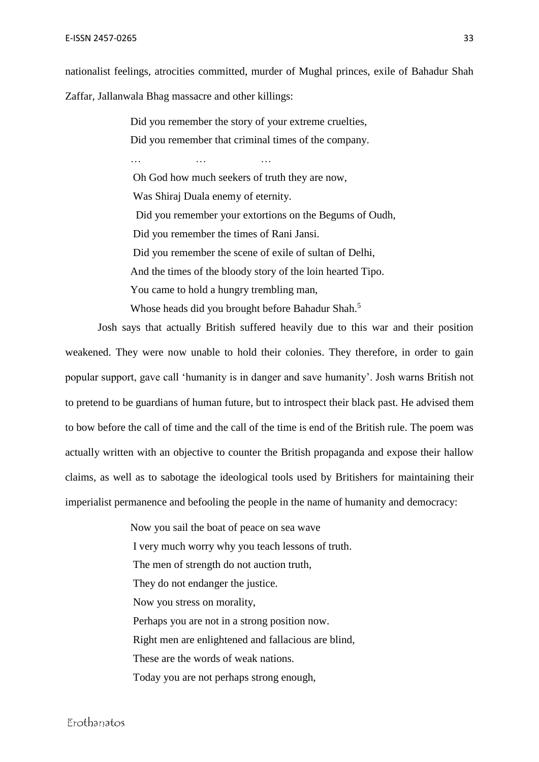nationalist feelings, atrocities committed, murder of Mughal princes, exile of Bahadur Shah Zaffar, Jallanwala Bhag massacre and other killings:

> Did you remember the story of your extreme cruelties, Did you remember that criminal times of the company.

… … … … … … … … … … …

Oh God how much seekers of truth they are now, Was Shiraj Duala enemy of eternity. Did you remember your extortions on the Begums of Oudh, Did you remember the times of Rani Jansi. Did you remember the scene of exile of sultan of Delhi, And the times of the bloody story of the loin hearted Tipo. You came to hold a hungry trembling man,

Whose heads did you brought before Bahadur Shah.<sup>5</sup>

Josh says that actually British suffered heavily due to this war and their position weakened. They were now unable to hold their colonies. They therefore, in order to gain popular support, gave call 'humanity is in danger and save humanity'. Josh warns British not to pretend to be guardians of human future, but to introspect their black past. He advised them to bow before the call of time and the call of the time is end of the British rule. The poem was actually written with an objective to counter the British propaganda and expose their hallow claims, as well as to sabotage the ideological tools used by Britishers for maintaining their imperialist permanence and befooling the people in the name of humanity and democracy:

> Now you sail the boat of peace on sea wave I very much worry why you teach lessons of truth. The men of strength do not auction truth, They do not endanger the justice. Now you stress on morality, Perhaps you are not in a strong position now. Right men are enlightened and fallacious are blind, These are the words of weak nations. Today you are not perhaps strong enough,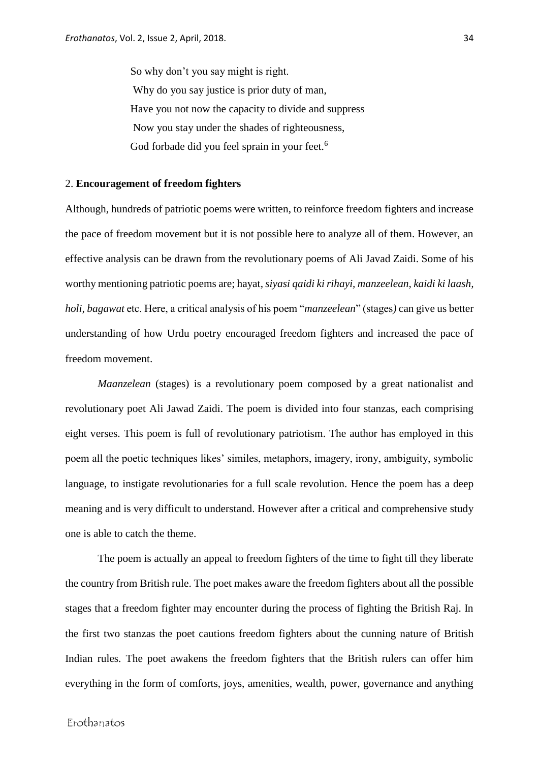So why don't you say might is right. Why do you say justice is prior duty of man, Have you not now the capacity to divide and suppress Now you stay under the shades of righteousness, God forbade did you feel sprain in your feet.<sup>6</sup>

#### 2. **Encouragement of freedom fighters**

Although, hundreds of patriotic poems were written, to reinforce freedom fighters and increase the pace of freedom movement but it is not possible here to analyze all of them. However, an effective analysis can be drawn from the revolutionary poems of Ali Javad Zaidi. Some of his worthy mentioning patriotic poems are; hayat*, siyasi qaidi ki rihayi, manzeelean, kaidi ki laash, holi, bagawat* etc. Here, a critical analysis of his poem "*manzeelean*" (stages*)* can give us better understanding of how Urdu poetry encouraged freedom fighters and increased the pace of freedom movement.

*Maanzelean* (stages) is a revolutionary poem composed by a great nationalist and revolutionary poet Ali Jawad Zaidi. The poem is divided into four stanzas, each comprising eight verses. This poem is full of revolutionary patriotism. The author has employed in this poem all the poetic techniques likes' similes, metaphors, imagery, irony, ambiguity, symbolic language, to instigate revolutionaries for a full scale revolution. Hence the poem has a deep meaning and is very difficult to understand. However after a critical and comprehensive study one is able to catch the theme.

The poem is actually an appeal to freedom fighters of the time to fight till they liberate the country from British rule. The poet makes aware the freedom fighters about all the possible stages that a freedom fighter may encounter during the process of fighting the British Raj. In the first two stanzas the poet cautions freedom fighters about the cunning nature of British Indian rules. The poet awakens the freedom fighters that the British rulers can offer him everything in the form of comforts, joys, amenities, wealth, power, governance and anything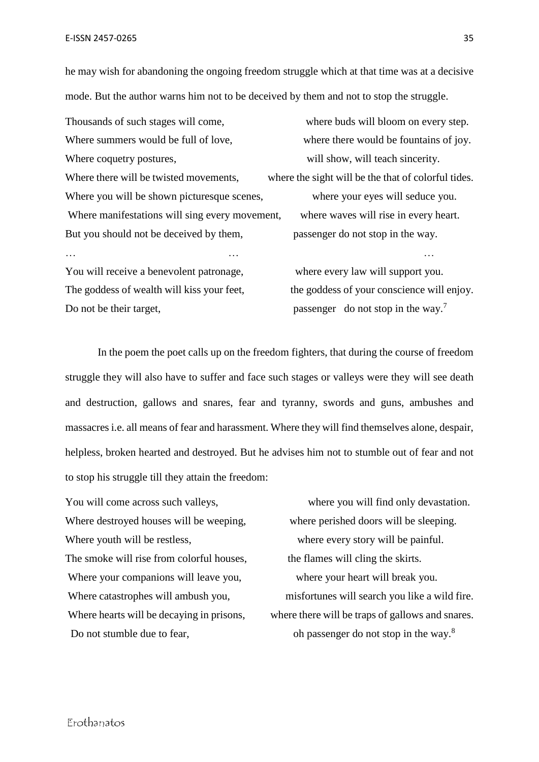he may wish for abandoning the ongoing freedom struggle which at that time was at a decisive mode. But the author warns him not to be deceived by them and not to stop the struggle.

| Thousands of such stages will come,            | where buds will bloom on every step.                |
|------------------------------------------------|-----------------------------------------------------|
| Where summers would be full of love,           | where there would be fountains of joy.              |
| Where coquetry postures,                       | will show, will teach sincerity.                    |
| Where there will be twisted movements,         | where the sight will be the that of colorful tides. |
| Where you will be shown picturesque scenes,    | where your eyes will seduce you.                    |
| Where manifestations will sing every movement, | where waves will rise in every heart.               |
| But you should not be deceived by them,        | passenger do not stop in the way.                   |
|                                                |                                                     |
| You will receive a benevolent patronage,       | where every law will support you.                   |

Do not be their target, passenger do not stop in the way.<sup>7</sup>

The goddess of wealth will kiss your feet, the goddess of your conscience will enjoy.

In the poem the poet calls up on the freedom fighters, that during the course of freedom struggle they will also have to suffer and face such stages or valleys were they will see death and destruction, gallows and snares, fear and tyranny, swords and guns, ambushes and massacres i.e. all means of fear and harassment. Where they will find themselves alone, despair, helpless, broken hearted and destroyed. But he advises him not to stumble out of fear and not to stop his struggle till they attain the freedom:

You will come across such valleys, where you will find only devastation. Where destroyed houses will be weeping, where perished doors will be sleeping. Where youth will be restless, where every story will be painful. The smoke will rise from colorful houses, the flames will cling the skirts. Where your companions will leave you, where your heart will break you. Do not stumble due to fear, oh passenger do not stop in the way.<sup>8</sup>

Where catastrophes will ambush you, misfortunes will search you like a wild fire. Where hearts will be decaying in prisons, where there will be traps of gallows and snares.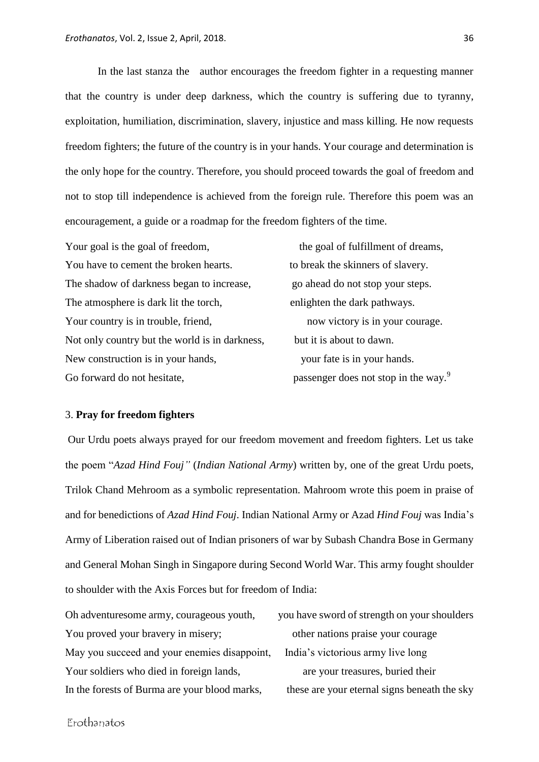In the last stanza the author encourages the freedom fighter in a requesting manner that the country is under deep darkness, which the country is suffering due to tyranny, exploitation, humiliation, discrimination, slavery, injustice and mass killing. He now requests freedom fighters; the future of the country is in your hands. Your courage and determination is the only hope for the country. Therefore, you should proceed towards the goal of freedom and not to stop till independence is achieved from the foreign rule. Therefore this poem was an encouragement, a guide or a roadmap for the freedom fighters of the time.

Your goal is the goal of freedom, the goal of fulfillment of dreams, You have to cement the broken hearts. to break the skinners of slavery. The shadow of darkness began to increase, go ahead do not stop your steps. The atmosphere is dark lit the torch, enlighten the dark pathways. Your country is in trouble, friend, now victory is in your courage. Not only country but the world is in darkness, but it is about to dawn. New construction is in your hands, your fate is in your hands. Go forward do not hesitate, passenger does not stop in the way.<sup>9</sup>

#### 3. **Pray for freedom fighters**

Our Urdu poets always prayed for our freedom movement and freedom fighters. Let us take the poem "*Azad Hind Fouj"* (*Indian National Army*) written by, one of the great Urdu poets, Trilok Chand Mehroom as a symbolic representation. Mahroom wrote this poem in praise of and for benedictions of *Azad Hind Fouj*. Indian National Army or Azad *Hind Fouj* was India's Army of Liberation raised out of Indian prisoners of war by Subash Chandra Bose in Germany and General Mohan Singh in Singapore during Second World War. This army fought shoulder to shoulder with the Axis Forces but for freedom of India:

Oh adventuresome army, courageous youth, you have sword of strength on your shoulders You proved your bravery in misery; other nations praise your courage May you succeed and your enemies disappoint, India's victorious army live long Your soldiers who died in foreign lands, are your treasures, buried their

In the forests of Burma are your blood marks, these are your eternal signs beneath the sky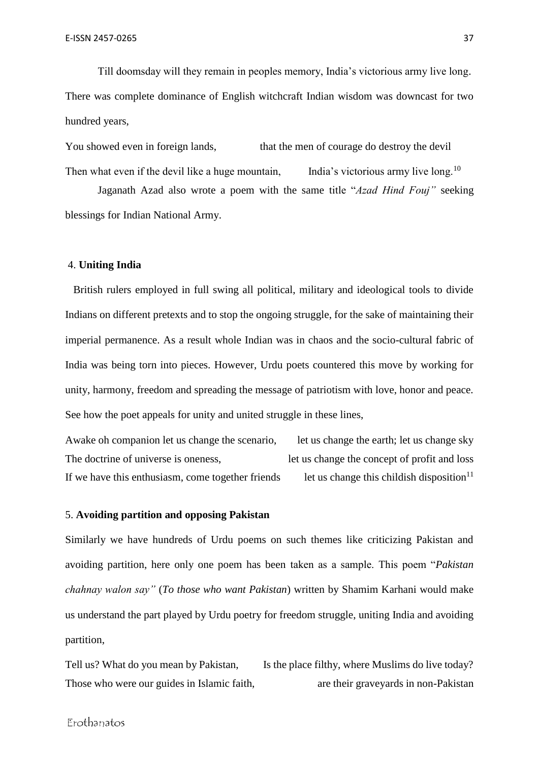Till doomsday will they remain in peoples memory, India's victorious army live long. There was complete dominance of English witchcraft Indian wisdom was downcast for two hundred years,

You showed even in foreign lands, that the men of courage do destroy the devil Then what even if the devil like a huge mountain, India's victorious army live long.<sup>10</sup>

Jaganath Azad also wrote a poem with the same title "*Azad Hind Fouj"* seeking blessings for Indian National Army.

## 4. **Uniting India**

 British rulers employed in full swing all political, military and ideological tools to divide Indians on different pretexts and to stop the ongoing struggle, for the sake of maintaining their imperial permanence. As a result whole Indian was in chaos and the socio-cultural fabric of India was being torn into pieces. However, Urdu poets countered this move by working for unity, harmony, freedom and spreading the message of patriotism with love, honor and peace. See how the poet appeals for unity and united struggle in these lines,

Awake oh companion let us change the scenario, let us change the earth; let us change sky The doctrine of universe is oneness, let us change the concept of profit and loss If we have this enthusiasm, come together friends let us change this childish disposition<sup>11</sup>

## 5. **Avoiding partition and opposing Pakistan**

Similarly we have hundreds of Urdu poems on such themes like criticizing Pakistan and avoiding partition, here only one poem has been taken as a sample. This poem "*Pakistan chahnay walon say"* (*To those who want Pakistan*) written by Shamim Karhani would make us understand the part played by Urdu poetry for freedom struggle, uniting India and avoiding partition,

Tell us? What do you mean by Pakistan, Is the place filthy, where Muslims do live today? Those who were our guides in Islamic faith, are their graveyards in non-Pakistan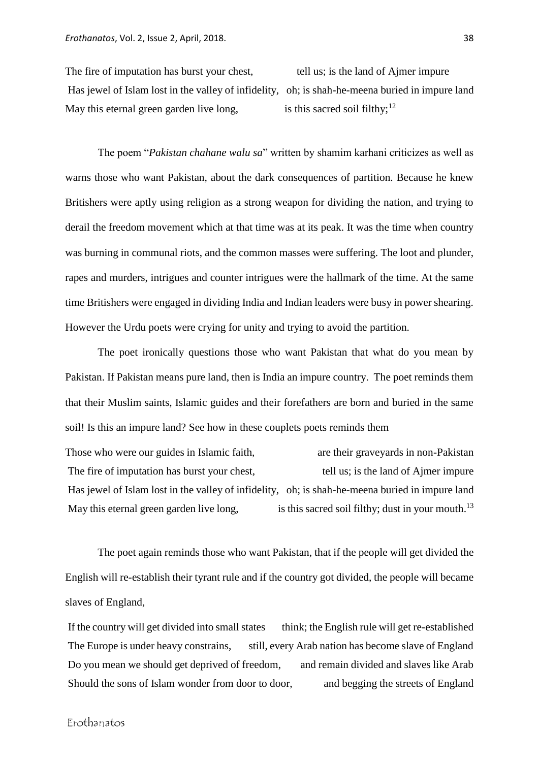The fire of imputation has burst your chest, tell us; is the land of Ajmer impure Has jewel of Islam lost in the valley of infidelity, oh; is shah-he-meena buried in impure land May this eternal green garden live long, is this sacred soil filthy; $12$ 

The poem "*Pakistan chahane walu sa*" written by shamim karhani criticizes as well as warns those who want Pakistan, about the dark consequences of partition. Because he knew Britishers were aptly using religion as a strong weapon for dividing the nation, and trying to derail the freedom movement which at that time was at its peak. It was the time when country was burning in communal riots, and the common masses were suffering. The loot and plunder, rapes and murders, intrigues and counter intrigues were the hallmark of the time. At the same time Britishers were engaged in dividing India and Indian leaders were busy in power shearing. However the Urdu poets were crying for unity and trying to avoid the partition.

The poet ironically questions those who want Pakistan that what do you mean by Pakistan. If Pakistan means pure land, then is India an impure country. The poet reminds them that their Muslim saints, Islamic guides and their forefathers are born and buried in the same soil! Is this an impure land? See how in these couplets poets reminds them

Those who were our guides in Islamic faith, are their graveyards in non-Pakistan The fire of imputation has burst your chest, tell us; is the land of Ajmer impure Has jewel of Islam lost in the valley of infidelity, oh; is shah-he-meena buried in impure land May this eternal green garden live long, is this sacred soil filthy; dust in your mouth.<sup>13</sup>

The poet again reminds those who want Pakistan, that if the people will get divided the English will re-establish their tyrant rule and if the country got divided, the people will became slaves of England,

If the country will get divided into small states think; the English rule will get re-established The Europe is under heavy constrains, still, every Arab nation has become slave of England Do you mean we should get deprived of freedom, and remain divided and slaves like Arab Should the sons of Islam wonder from door to door, and begging the streets of England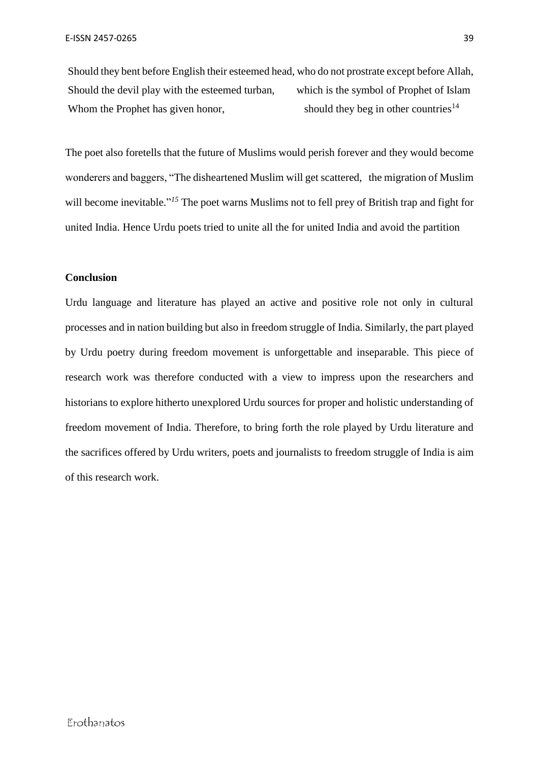Should they bent before English their esteemed head, who do not prostrate except before Allah, Should the devil play with the esteemed turban, which is the symbol of Prophet of Islam Whom the Prophet has given honor, should they beg in other countries $14$ 

The poet also foretells that the future of Muslims would perish forever and they would become wonderers and baggers, "The disheartened Muslim will get scattered, the migration of Muslim will become inevitable."<sup>15</sup> The poet warns Muslims not to fell prey of British trap and fight for united India. Hence Urdu poets tried to unite all the for united India and avoid the partition

## **Conclusion**

Urdu language and literature has played an active and positive role not only in cultural processes and in nation building but also in freedom struggle of India. Similarly, the part played by Urdu poetry during freedom movement is unforgettable and inseparable. This piece of research work was therefore conducted with a view to impress upon the researchers and historians to explore hitherto unexplored Urdu sources for proper and holistic understanding of freedom movement of India. Therefore, to bring forth the role played by Urdu literature and the sacrifices offered by Urdu writers, poets and journalists to freedom struggle of India is aim of this research work.